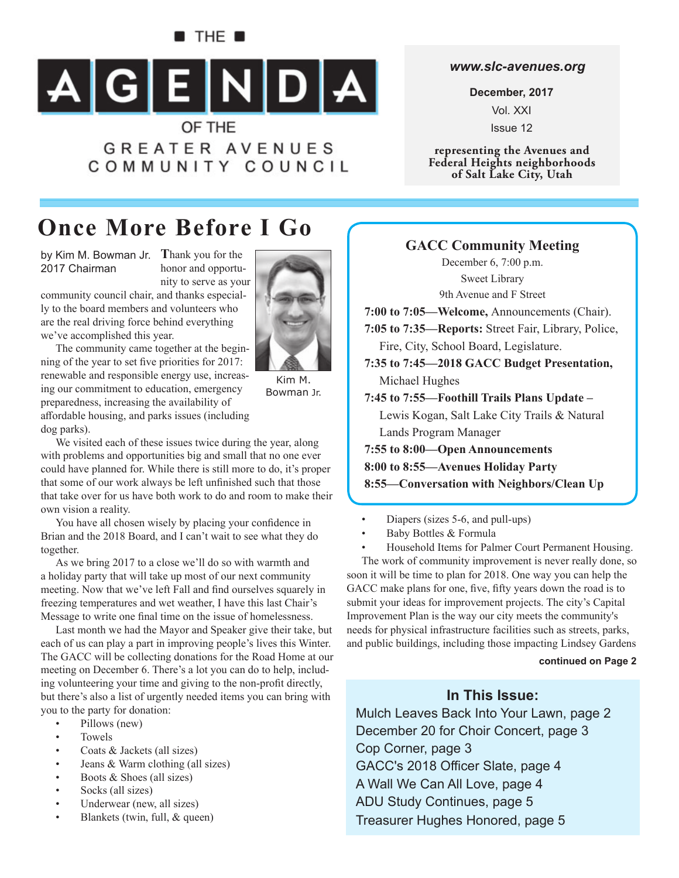### $\blacksquare$  The  $\blacksquare$



**GREATER AVENUES** COMMUNITY COUNCIL

#### *www.slc-avenues.org*

**December, 2017** Vol. XXI Issue 12

**representing the Avenues and Federal Heights neighborhoods of Salt Lake City, Utah**

# **Once More Before I Go**

by Kim M. Bowman Jr. Thank you for the 2017 Chairman

honor and opportunity to serve as your





The community came together at the beginning of the year to set five priorities for 2017: renewable and responsible energy use, increasing our commitment to education, emergency preparedness, increasing the availability of aff ordable housing, and parks issues (including dog parks).

Kim M. Bowman Jr.

We visited each of these issues twice during the year, along with problems and opportunities big and small that no one ever could have planned for. While there is still more to do, it's proper that some of our work always be left unfinished such that those that take over for us have both work to do and room to make their own vision a reality.

You have all chosen wisely by placing your confidence in Brian and the 2018 Board, and I can't wait to see what they do together.

As we bring 2017 to a close we'll do so with warmth and a holiday party that will take up most of our next community meeting. Now that we've left Fall and find ourselves squarely in freezing temperatures and wet weather, I have this last Chair's Message to write one final time on the issue of homelessness.

Last month we had the Mayor and Speaker give their take, but each of us can play a part in improving people's lives this Winter. The GACC will be collecting donations for the Road Home at our meeting on December 6. There's a lot you can do to help, including volunteering your time and giving to the non-profit directly, but there's also a list of urgently needed items you can bring with you to the party for donation:

- Pillows (new)
- Towels
- Coats & Jackets (all sizes)
- Jeans & Warm clothing (all sizes)
- Boots & Shoes (all sizes)
- Socks (all sizes)
- Underwear (new, all sizes)
- Blankets (twin, full, & queen)

**GACC Community Meeting** December 6, 7:00 p.m. Sweet Library 9th Avenue and F Street **7:00 to 7:05—Welcome,** Announcements (Chair). **7:05 to 7:35—Reports:** Street Fair, Library, Police, Fire, City, School Board, Legislature. **7:35 to 7:45—2018 GACC Budget Presentation,**  Michael Hughes **7:45 to 7:55—Foothill Trails Plans Update –**  Lewis Kogan, Salt Lake City Trails & Natural Lands Program Manager **7:55 to 8:00—Open Announcements 8:00 to 8:55—Avenues Holiday Party 8:55—Conversation with Neighbors/Clean Up**

- Diapers (sizes 5-6, and pull-ups)
- Baby Bottles & Formula
- Household Items for Palmer Court Permanent Housing.

The work of community improvement is never really done, so soon it will be time to plan for 2018. One way you can help the GACC make plans for one, five, fifty years down the road is to submit your ideas for improvement projects. The city's Capital Improvement Plan is the way our city meets the community's needs for physical infrastructure facilities such as streets, parks, and public buildings, including those impacting Lindsey Gardens

#### **continued on Page 2**

### **In This Issue:**

Mulch Leaves Back Into Your Lawn, page 2 December 20 for Choir Concert, page 3 Cop Corner, page 3 GACC's 2018 Officer Slate, page 4 A Wall We Can All Love, page 4 ADU Study Continues, page 5 Treasurer Hughes Honored, page 5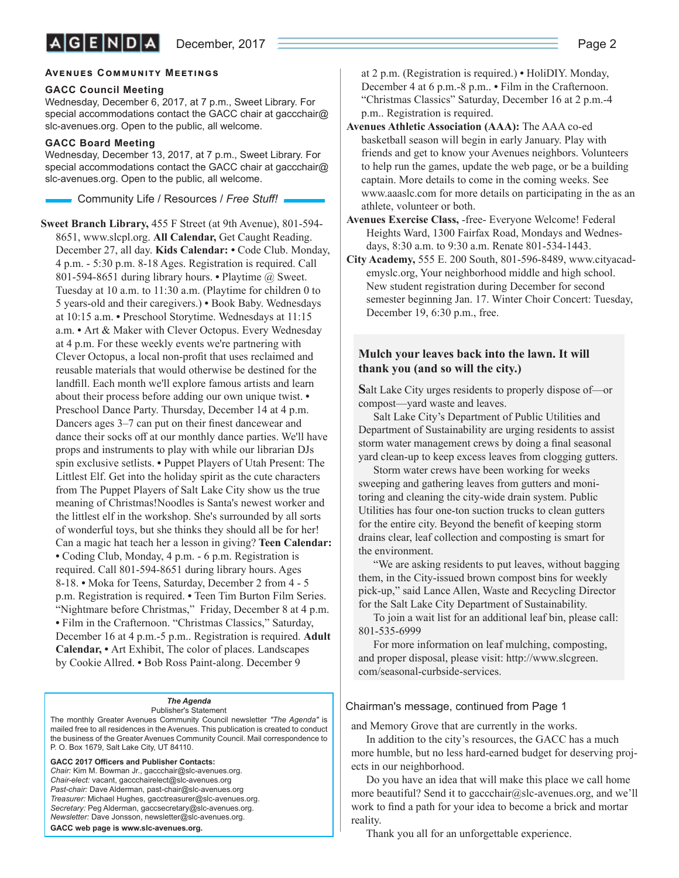#### **AVENUES COMMUNITY MEETINGS**

#### **GACC Council Meeting**

Wednesday, December 6, 2017, at 7 p.m., Sweet Library. For special accommodations contact the GACC chair at gaccchair@ slc-avenues.org. Open to the public, all welcome.

#### **GACC Board Meeting**

Wednesday, December 13, 2017, at 7 p.m., Sweet Library. For special accommodations contact the GACC chair at gaccchair@ slc-avenues.org. Open to the public, all welcome.

Community Life / Resources / *Free Stuff !*

**Sweet Branch Library,** 455 F Street (at 9th Avenue), 801-594- 8651, www.slcpl.org. **All Calendar,** Get Caught Reading. December 27, all day. **Kids Calendar: •** Code Club. Monday, 4 p.m. - 5:30 p.m. 8-18 Ages. Registration is required. Call 801-594-8651 during library hours. **•** Playtime @ Sweet. Tuesday at 10 a.m. to 11:30 a.m. (Playtime for children 0 to 5 years-old and their caregivers.) **•** Book Baby. Wednesdays at 10:15 a.m. **•** Preschool Storytime. Wednesdays at 11:15 a.m. **•** Art & Maker with Clever Octopus. Every Wednesday at 4 p.m. For these weekly events we're partnering with Clever Octopus, a local non-profit that uses reclaimed and reusable materials that would otherwise be destined for the landfill. Each month we'll explore famous artists and learn about their process before adding our own unique twist. **•**  Preschool Dance Party. Thursday, December 14 at 4 p.m. Dancers ages 3–7 can put on their finest dancewear and dance their socks off at our monthly dance parties. We'll have props and instruments to play with while our librarian DJs spin exclusive setlists. **•** Puppet Players of Utah Present: The Littlest Elf. Get into the holiday spirit as the cute characters from The Puppet Players of Salt Lake City show us the true meaning of Christmas!Noodles is Santa's newest worker and the littlest elf in the workshop. She's surrounded by all sorts of wonderful toys, but she thinks they should all be for her! Can a magic hat teach her a lesson in giving? **Teen Calendar: •** Coding Club, Monday, 4 p.m. - 6 p.m. Registration is required. Call 801-594-8651 during library hours. Ages 8-18. **•** Moka for Teens, Saturday, December 2 from 4 - 5 p.m. Registration is required. **•** Teen Tim Burton Film Series. "Nightmare before Christmas," Friday, December 8 at 4 p.m. **•** Film in the Crafternoon. "Christmas Classics," Saturday, December 16 at 4 p.m.-5 p.m.. Registration is required. **Adult Calendar, •** Art Exhibit, The color of places. Landscapes by Cookie Allred. **•** Bob Ross Paint-along. December 9

#### *The Agenda*

Publisher's Statement The monthly Greater Avenues Community Council newsletter *"The Agenda"* is mailed free to all residences in the Avenues. This publication is created to conduct the business of the Greater Avenues Community Council. Mail correspondence to P. O. Box 1679, Salt Lake City, UT 84110.

GACC 2017 Officers and Publisher Contacts: *Chair:* Kim M. Bowman Jr., gaccchair@slc-avenues.org. *Chair-elect:* vacant, gaccchairelect@slc-avenues.org *Past-chair:* Dave Alderman, past-chair@slc-avenues.org *Treasurer:* Michael Hughes, gacctreasurer@slc-avenues.org. *Secretary:* Peg Alderman, gaccsecretary@slc-avenues.org. *Newsletter:* Dave Jonsson, newsletter@slc-avenues.org. **GACC web page is www.slc-avenues.org.**

at 2 p.m. (Registration is required.) **•** HoliDIY. Monday, December 4 at 6 p.m.-8 p.m.. **•** Film in the Crafternoon. "Christmas Classics" Saturday, December 16 at 2 p.m.-4 p.m.. Registration is required.

- **Avenues Athletic Association (AAA):** The AAA co-ed basketball season will begin in early January. Play with friends and get to know your Avenues neighbors. Volunteers to help run the games, update the web page, or be a building captain. More details to come in the coming weeks. See www.aaaslc.com for more details on participating in the as an athlete, volunteer or both.
- **Avenues Exercise Class,** -free- Everyone Welcome! Federal Heights Ward, 1300 Fairfax Road, Mondays and Wednesdays, 8:30 a.m. to 9:30 a.m. Renate 801-534-1443.
- **City Academy,** 555 E. 200 South, 801-596-8489, www.cityacademyslc.org, Your neighborhood middle and high school. New student registration during December for second semester beginning Jan. 17. Winter Choir Concert: Tuesday, December 19, 6:30 p.m., free.

#### **Mulch your leaves back into the lawn. It will thank you (and so will the city.)**

**S**alt Lake City urges residents to properly dispose of—or compost—yard waste and leaves.

Salt Lake City's Department of Public Utilities and Department of Sustainability are urging residents to assist storm water management crews by doing a final seasonal yard clean-up to keep excess leaves from clogging gutters.

Storm water crews have been working for weeks sweeping and gathering leaves from gutters and monitoring and cleaning the city-wide drain system. Public Utilities has four one-ton suction trucks to clean gutters for the entire city. Beyond the benefit of keeping storm drains clear, leaf collection and composting is smart for the environment.

"We are asking residents to put leaves, without bagging them, in the City-issued brown compost bins for weekly pick-up," said Lance Allen, Waste and Recycling Director for the Salt Lake City Department of Sustainability.

To join a wait list for an additional leaf bin, please call: 801-535-6999

For more information on leaf mulching, composting, and proper disposal, please visit: http://www.slcgreen. com/seasonal-curbside-services.

#### Chairman's message, continued from Page 1

and Memory Grove that are currently in the works.

In addition to the city's resources, the GACC has a much more humble, but no less hard-earned budget for deserving projects in our neighborhood.

Do you have an idea that will make this place we call home more beautiful? Send it to gaccchair@slc-avenues.org, and we'll work to find a path for your idea to become a brick and mortar reality.

Thank you all for an unforgettable experience.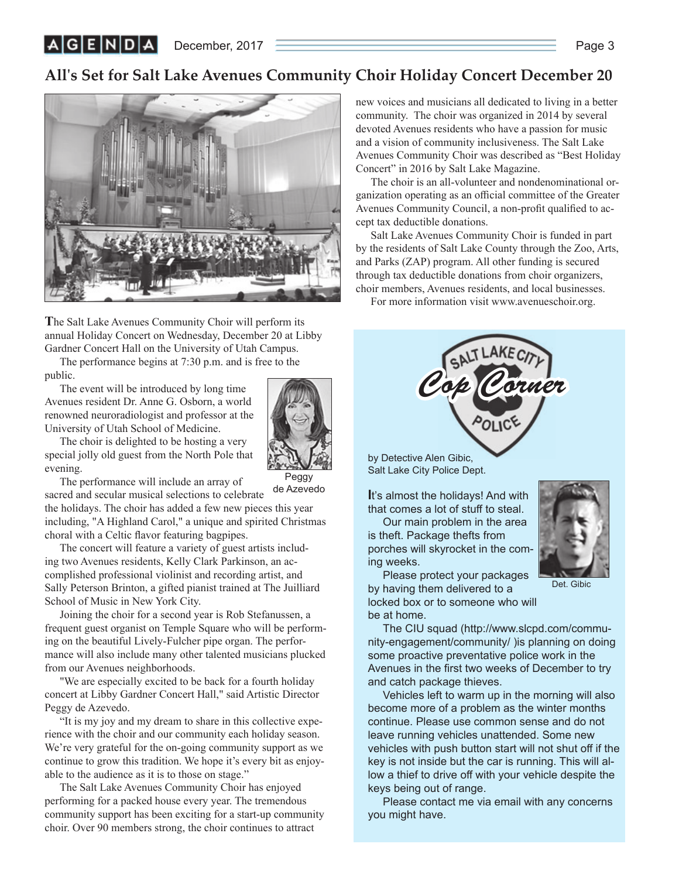December, 2017 **Page 3** 

 $|A|G|E|N|D|A|$ 

### **All's Set for Salt Lake Avenues Community Choir Holiday Concert December 20**



**T**he Salt Lake Avenues Community Choir will perform its annual Holiday Concert on Wednesday, December 20 at Libby Gardner Concert Hall on the University of Utah Campus.

The performance begins at 7:30 p.m. and is free to the public.

The event will be introduced by long time Avenues resident Dr. Anne G. Osborn, a world renowned neuroradiologist and professor at the University of Utah School of Medicine.



The choir is delighted to be hosting a very special jolly old guest from the North Pole that evening.

Peggy de Azevedo

The performance will include an array of sacred and secular musical selections to celebrate

the holidays. The choir has added a few new pieces this year including, "A Highland Carol," a unique and spirited Christmas choral with a Celtic flavor featuring bagpipes.

The concert will feature a variety of guest artists including two Avenues residents, Kelly Clark Parkinson, an accomplished professional violinist and recording artist, and Sally Peterson Brinton, a gifted pianist trained at The Juilliard School of Music in New York City.

Joining the choir for a second year is Rob Stefanussen, a frequent guest organist on Temple Square who will be performing on the beautiful Lively-Fulcher pipe organ. The performance will also include many other talented musicians plucked from our Avenues neighborhoods.

"We are especially excited to be back for a fourth holiday concert at Libby Gardner Concert Hall," said Artistic Director Peggy de Azevedo.

"It is my joy and my dream to share in this collective experience with the choir and our community each holiday season. We're very grateful for the on-going community support as we continue to grow this tradition. We hope it's every bit as enjoyable to the audience as it is to those on stage."

The Salt Lake Avenues Community Choir has enjoyed performing for a packed house every year. The tremendous community support has been exciting for a start-up community choir. Over 90 members strong, the choir continues to attract

new voices and musicians all dedicated to living in a better community. The choir was organized in 2014 by several devoted Avenues residents who have a passion for music and a vision of community inclusiveness. The Salt Lake Avenues Community Choir was described as "Best Holiday Concert" in 2016 by Salt Lake Magazine.

The choir is an all-volunteer and nondenominational organization operating as an official committee of the Greater Avenues Community Council, a non-profit qualified to accept tax deductible donations.

Salt Lake Avenues Community Choir is funded in part by the residents of Salt Lake County through the Zoo, Arts, and Parks (ZAP) program. All other funding is secured through tax deductible donations from choir organizers, choir members, Avenues residents, and local businesses.

For more information visit www.avenueschoir.org.



by Detective Alen Gibic, Salt Lake City Police Dept.

ing weeks.

**I**t's almost the holidays! And with that comes a lot of stuff to steal.

Our main problem in the area is theft. Package thefts from porches will skyrocket in the com-



Det. Gibic

Please protect your packages by having them delivered to a locked box or to someone who will be at home.

The CIU squad (http://www.slcpd.com/community-engagement/community/ )is planning on doing some proactive preventative police work in the Avenues in the first two weeks of December to try and catch package thieves.

Vehicles left to warm up in the morning will also become more of a problem as the winter months continue. Please use common sense and do not leave running vehicles unattended. Some new vehicles with push button start will not shut off if the key is not inside but the car is running. This will allow a thief to drive off with your vehicle despite the keys being out of range.

Please contact me via email with any concerns you might have.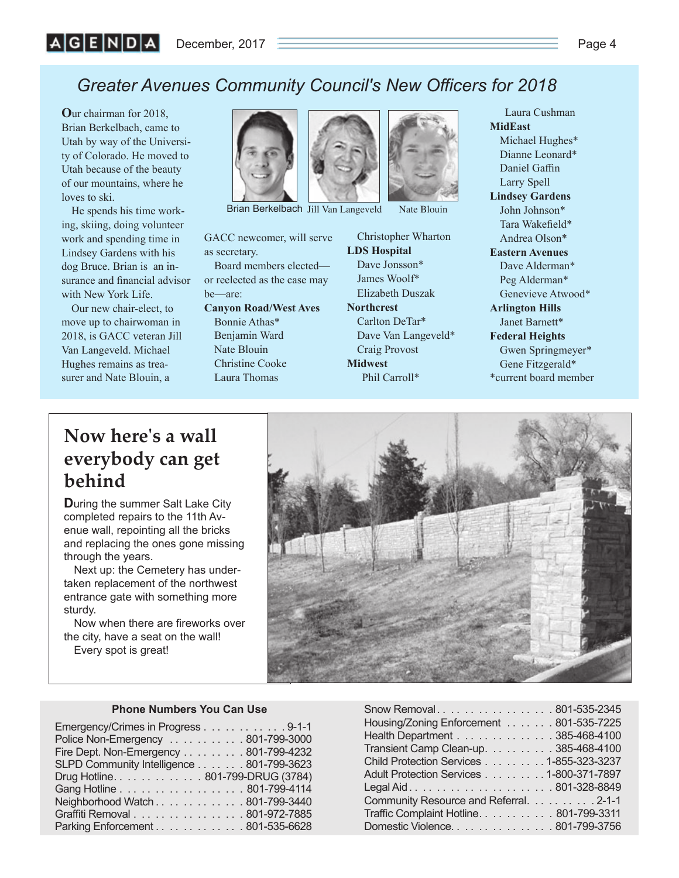# **Greater Avenues Community Council's New Officers for 2018**

**O**ur chairman for 2018, Brian Berkelbach, came to Utah by way of the University of Colorado. He moved to Utah because of the beauty of our mountains, where he loves to ski.

He spends his time working, skiing, doing volunteer work and spending time in Lindsey Gardens with his dog Bruce. Brian is an insurance and financial advisor with New York Life.

Our new chair-elect, to move up to chairwoman in 2018, is GACC veteran Jill Van Langeveld. Michael Hughes remains as treasurer and Nate Blouin, a



Brian Berkelbach Jill Van Langeveld Nate Blouin

GACC newcomer, will serve as secretary.

Board members elected or reelected as the case may be—are:

**Canyon Road/West Aves** Bonnie Athas\* Benjamin Ward Nate Blouin Christine Cooke Laura Thomas

Christopher Wharton **LDS Hospital** Dave Jonsson\* James Woolf\* Elizabeth Duszak **Northcrest** Carlton DeTar\* Dave Van Langeveld\* Craig Provost **Midwest** Phil Carroll\*

**MidEast** Michael Hughes\* Dianne Leonard\* Daniel Gaffin Larry Spell **Lindsey Gardens** John Johnson\* Tara Wakefield\* Andrea Olson\* **Eastern Avenues** Dave Alderman\* Peg Alderman\* Genevieve Atwood\* **Arlington Hills** Janet Barnett\* **Federal Heights** Gwen Springmeyer\* Gene Fitzgerald\* \*current board member

Laura Cushman

# **Now here's a wall everybody can get behind**

**D**uring the summer Salt Lake City completed repairs to the 11th Avenue wall, repointing all the bricks and replacing the ones gone missing through the years.

Next up: the Cemetery has undertaken replacement of the northwest entrance gate with something more sturdy.

Now when there are fireworks over the city, have a seat on the wall! Every spot is great!



#### **Phone Numbers You Can Use**

| Emergency/Crimes in Progress 9-1-1       |  |
|------------------------------------------|--|
| Police Non-Emergency  801-799-3000       |  |
| Fire Dept. Non-Emergency 801-799-4232    |  |
| SLPD Community Intelligence 801-799-3623 |  |
| Drug Hotline. 801-799-DRUG (3784)        |  |
| Gang Hotline 801-799-4114                |  |
| Neighborhood Watch 801-799-3440          |  |
| Graffiti Removal 801-972-7885            |  |
| Parking Enforcement 801-535-6628         |  |

| Snow Removal801-535-2345                 |
|------------------------------------------|
| Housing/Zoning Enforcement 801-535-7225  |
| Health Department 385-468-4100           |
| Transient Camp Clean-up. 385-468-4100    |
| Child Protection Services 1-855-323-3237 |
| Adult Protection Services 1-800-371-7897 |
|                                          |
| Community Resource and Referral. 2-1-1   |
| Traffic Complaint Hotline801-799-3311    |
| Domestic Violence. 801-799-3756          |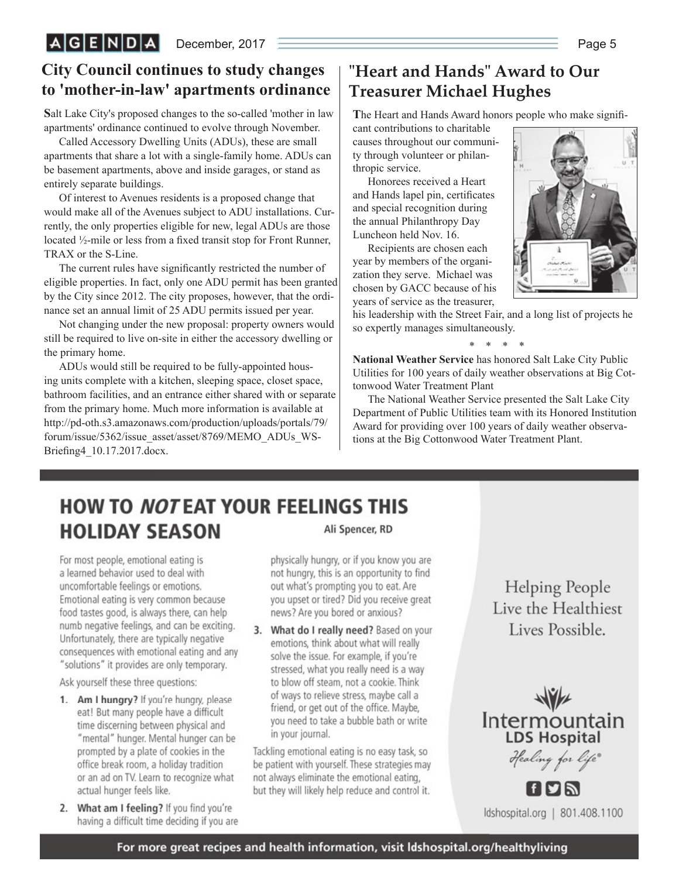# **City Council continues to study changes to 'mother-in-law' apartments ordinance**

**S**alt Lake City's proposed changes to the so-called 'mother in law apartments' ordinance continued to evolve through November.

Called Accessory Dwelling Units (ADUs), these are small apartments that share a lot with a single-family home. ADUs can be basement apartments, above and inside garages, or stand as entirely separate buildings.

Of interest to Avenues residents is a proposed change that would make all of the Avenues subject to ADU installations. Currently, the only properties eligible for new, legal ADUs are those located  $\frac{1}{2}$ -mile or less from a fixed transit stop for Front Runner, TRAX or the S-Line.

The current rules have significantly restricted the number of eligible properties. In fact, only one ADU permit has been granted by the City since 2012. The city proposes, however, that the ordinance set an annual limit of 25 ADU permits issued per year.

Not changing under the new proposal: property owners would still be required to live on-site in either the accessory dwelling or the primary home.

ADUs would still be required to be fully-appointed housing units complete with a kitchen, sleeping space, closet space, bathroom facilities, and an entrance either shared with or separate from the primary home. Much more information is available at http://pd-oth.s3.amazonaws.com/production/uploads/portals/79/ forum/issue/5362/issue\_asset/asset/8769/MEMO\_ADUs\_WS-Briefing4\_10.17.2017.docx.

# **"Heart and Hands" Award to Our Treasurer Michael Hughes**

The Heart and Hands Award honors people who make signifi-

cant contributions to charitable causes throughout our community through volunteer or philanthropic service.

Honorees received a Heart and Hands lapel pin, certificates and special recognition during the annual Philanthropy Day Luncheon held Nov. 16.

Recipients are chosen each year by members of the organization they serve. Michael was chosen by GACC because of his years of service as the treasurer,



his leadership with the Street Fair, and a long list of projects he so expertly manages simultaneously.

\* \* \* \*

**National Weather Service** has honored Salt Lake City Public Utilities for 100 years of daily weather observations at Big Cottonwood Water Treatment Plant

The National Weather Service presented the Salt Lake City Department of Public Utilities team with its Honored Institution Award for providing over 100 years of daily weather observations at the Big Cottonwood Water Treatment Plant.

### **HOW TO NOTEAT YOUR FEELINGS THIS HOLIDAY SEASON** Ali Spencer, RD

For most people, emotional eating is a learned behavior used to deal with uncomfortable feelings or emotions. Emotional eating is very common because food tastes good, is always there, can help numb negative feelings, and can be exciting. Unfortunately, there are typically negative consequences with emotional eating and any "solutions" it provides are only temporary.

Ask yourself these three questions:

- 1. Am I hungry? If you're hungry, please eat! But many people have a difficult time discerning between physical and "mental" hunger. Mental hunger can be prompted by a plate of cookies in the office break room, a holiday tradition or an ad on TV. Learn to recognize what actual hunger feels like.
- 2. What am I feeling? If you find you're having a difficult time deciding if you are

physically hungry, or if you know you are not hungry, this is an opportunity to find out what's prompting you to eat. Are you upset or tired? Did you receive great news? Are you bored or anxious?

3. What do I really need? Based on your emotions, think about what will really solve the issue. For example, if you're stressed, what you really need is a way to blow off steam, not a cookie. Think of ways to relieve stress, maybe call a friend, or get out of the office. Maybe, you need to take a bubble bath or write in your journal.

Tackling emotional eating is no easy task, so be patient with yourself. These strategies may not always eliminate the emotional eating, but they will likely help reduce and control it.

**Helping People** Live the Healthiest Lives Possible.



ldshospital.org | 801.408.1100